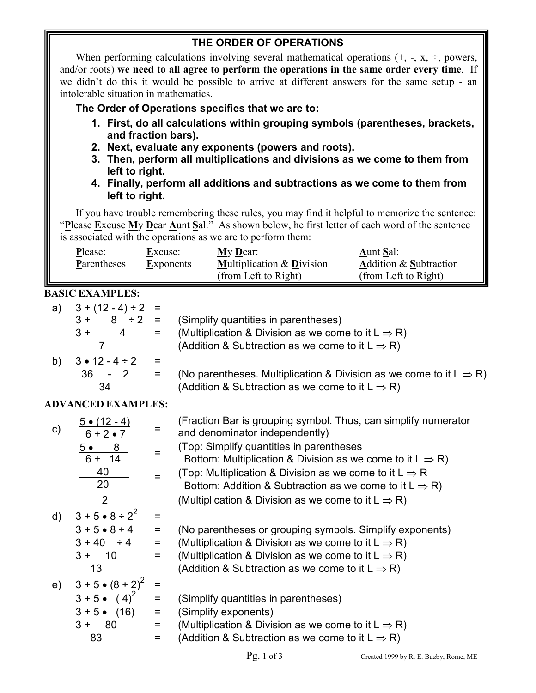## **THE ORDER OF OPERATIONS**

When performing calculations involving several mathematical operations  $(+, -, x, \div,$  powers, and/or roots) **we need to all agree to perform the operations in the same order every time**. If we didn't do this it would be possible to arrive at different answers for the same setup - an intolerable situation in mathematics.

**The Order of Operations specifies that we are to:** 

- **1. First, do all calculations within grouping symbols (parentheses, brackets, and fraction bars).**
- **2. Next, evaluate any exponents (powers and roots).**
- **3. Then, perform all multiplications and divisions as we come to them from left to right.**
- **4. Finally, perform all additions and subtractions as we come to them from left to right.**

If you have trouble remembering these rules, you may find it helpful to memorize the sentence: "**P**lease **E**xcuse **M**y **D**ear **A**unt **S**al." As shown below, he first letter of each word of the sentence is associated with the operations as we are to perform them:

| Please:     | Excuse:          | My Dear:                             | <b>Aunt Sal:</b>                  |
|-------------|------------------|--------------------------------------|-----------------------------------|
| Parentheses | <b>Exponents</b> | <b>Multiplication &amp; Division</b> | <b>Addition &amp; Subtraction</b> |
|             |                  | (from Left to Right)                 | (from Left to Right)              |

### **BASIC EXAMPLES:**

| a) | $3 + (12 - 4) \div 2 =$ |     |                                                                                 |
|----|-------------------------|-----|---------------------------------------------------------------------------------|
|    | $8 \div 2 =$<br>$3 +$   |     | (Simplify quantities in parentheses)                                            |
|    | $3+$<br>4               | $=$ | (Multiplication & Division as we come to it $L \Rightarrow R$ )                 |
|    |                         |     | (Addition & Subtraction as we come to it $L \Rightarrow R$ )                    |
| b) | $3 \cdot 12 - 4 \div 2$ | $=$ |                                                                                 |
|    | 36<br>$-2$              | =   | (No parentheses. Multiplication & Division as we come to it $L \Rightarrow R$ ) |
|    | 34                      |     | (Addition & Subtraction as we come to it $L \Rightarrow R$ )                    |

## **ADVANCED EXAMPLES:**

| $\mathsf{c})$ | $5 \bullet (12 - 4)$<br>$6 + 2 \cdot 7$ |          | (Fraction Bar is grouping symbol. Thus, can simplify numerator<br>and denominator independently) |
|---------------|-----------------------------------------|----------|--------------------------------------------------------------------------------------------------|
|               | 8<br><u>5</u> •                         |          | (Top: Simplify quantities in parentheses                                                         |
|               | $6 + 14$                                |          | Bottom: Multiplication & Division as we come to it $L \Rightarrow R$ )                           |
|               | 40                                      |          | (Top: Multiplication & Division as we come to it $L \Rightarrow R$                               |
|               | 20                                      |          | Bottom: Addition & Subtraction as we come to it $L \Rightarrow R$ )                              |
|               | 2                                       |          | (Multiplication & Division as we come to it $L \Rightarrow R$ )                                  |
| $\mathsf{d}$  | $3 + 5 \cdot 8 \div 2^2$                | $=$      |                                                                                                  |
|               | $3 + 5 \cdot 8 \div 4$                  | $\equiv$ | (No parentheses or grouping symbols. Simplify exponents)                                         |
|               | $3 + 40 \div 4$                         | $=$      | (Multiplication & Division as we come to it $L \Rightarrow R$ )                                  |
|               | $3 + 10$                                | $=$      | (Multiplication & Division as we come to it $L \Rightarrow R$ )                                  |
|               | 13                                      |          | (Addition & Subtraction as we come to it $L \Rightarrow R$ )                                     |
| e)            | $3 + 5 \cdot (8 \div 2)^2$              | $=$      |                                                                                                  |
|               | $3 + 5 \cdot (4)^2$                     | $\equiv$ | (Simplify quantities in parentheses)                                                             |
|               | $3 + 5 \cdot (16)$                      | $\equiv$ | (Simplify exponents)                                                                             |
|               | $3 + 80$                                | $=$      | (Multiplication & Division as we come to it $L \Rightarrow R$ )                                  |
|               | 83                                      | =        | (Addition & Subtraction as we come to it $L \Rightarrow R$ )                                     |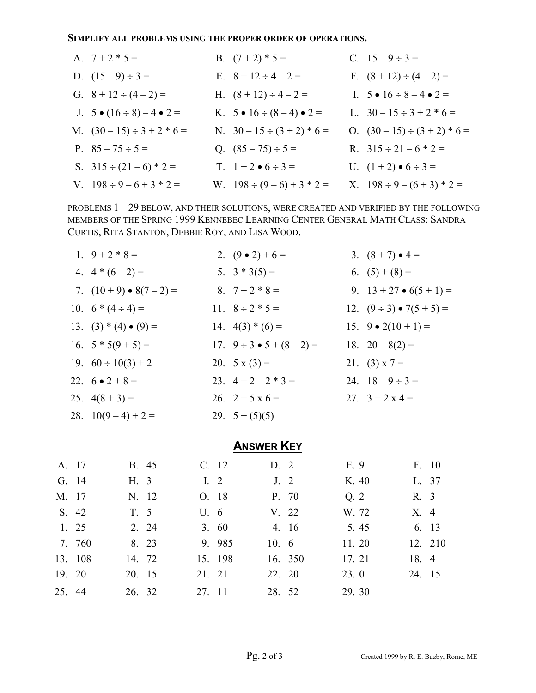**SIMPLIFY ALL PROBLEMS USING THE PROPER ORDER OF OPERATIONS.** 

| A. $7 + 2 * 5 =$                           | B. $(7+2)*5=$                          | C. $15-9 \div 3=$                    |
|--------------------------------------------|----------------------------------------|--------------------------------------|
| D. $(15-9) \div 3 =$                       | E. $8 + 12 \div 4 - 2 =$               | F. $(8 + 12) \div (4 - 2) =$         |
| G. $8 + 12 \div (4 - 2) =$                 | H. $(8 + 12) \div 4 - 2 =$             | I. $5 \cdot 16 \div 8 - 4 \cdot 2 =$ |
| J. $5 \bullet (16 \div 8) - 4 \bullet 2 =$ | K. $5 \cdot 16 \div (8 - 4) \cdot 2 =$ | L. $30-15 \div 3 + 2 * 6 =$          |
| M. $(30-15) \div 3 + 2 * 6 =$              | N. $30-15 \div (3 + 2) * 6 =$          | O. $(30-15) \div (3+2) * 6 =$        |
| P. $85 - 75 \div 5 =$                      | Q. $(85-75) \div 5 =$                  | R. $315 \div 21 - 6 \times 2 =$      |
| S. $315 \div (21 - 6) * 2 =$               | T. $1 + 2 \cdot 6 \div 3 =$            | U. $(1 + 2) \cdot 6 \div 3 =$        |
| V. $198 \div 9 - 6 + 3 * 2 =$              | W. $198 \div (9-6) + 3 * 2 =$          | X. $198 \div 9 - (6 + 3) * 2 =$      |

PROBLEMS 1 – 29 BELOW, AND THEIR SOLUTIONS, WERE CREATED AND VERIFIED BY THE FOLLOWING MEMBERS OF THE SPRING 1999 KENNEBEC LEARNING CENTER GENERAL MATH CLASS: SANDRA CURTIS, RITA STANTON, DEBBIE ROY, AND LISA WOOD.

| 1. $9 + 2 * 8 =$               | 2. $(9 \bullet 2) + 6 =$           | 3. $(8 + 7) \cdot 4 =$              |
|--------------------------------|------------------------------------|-------------------------------------|
| 4. $4*(6-2) =$                 | 5. $3 * 3(5) =$                    | 6. $(5) + (8) =$                    |
| 7. $(10 + 9) \cdot 8(7 - 2) =$ | 8. $7+2*8=$                        | 9. $13 + 27 \cdot 6(5 + 1) =$       |
| 10. $6*(4 \div 4) =$           | 11. $8 \div 2 * 5 =$               | 12. $(9 \div 3) \bullet 7(5 + 5) =$ |
| 13. $(3) * (4) \bullet (9) =$  | 14. $4(3) * (6) =$                 | 15. $9 \cdot 2(10 + 1) =$           |
| 16. $5 * 5(9 + 5) =$           | 17. $9 \div 3 \bullet 5 + (8-2) =$ | 18. $20-8(2) =$                     |
| 19. $60 \div 10(3) + 2$        | 20. $5 x (3) =$                    | 21. (3) $x = 7$                     |
| 22. $6 \bullet 2 + 8 =$        | 23. $4+2-2*3=$                     | 24. $18-9 \div 3=$                  |
| 25. $4(8+3) =$                 | 26. $2 + 5x6 =$                    | 27. $3 + 2x4 =$                     |
| 28. $10(9-4)+2=$               | 29. $5 + (5)(5)$                   |                                     |

# **ANSWER KEY**

| A. 17  |         |        | B. 45 |        | C. 12   | D. 2           |         | E. 9  |        | F. 10   |
|--------|---------|--------|-------|--------|---------|----------------|---------|-------|--------|---------|
| G. 14  |         | H. 3   |       | I. $2$ |         | J <sub>2</sub> |         | K. 40 | L. 37  |         |
| M. 17  |         |        | N. 12 |        | O. 18   |                | P. 70   | Q.2   | R. 3   |         |
|        | S. 42   | T. 5   |       | U.6    |         |                | V. 22   | W. 72 | X. 4   |         |
|        | 1, 25   |        | 2. 24 |        | 3.60    |                | 4. 16   | 5.45  |        | 6. 13   |
|        | 7. 760  |        | 8. 23 |        | 9. 985  | 10. $6$        |         | 11.20 |        | 12. 210 |
|        | 13. 108 | 14. 72 |       |        | 15. 198 |                | 16. 350 | 17.21 | 18. 4  |         |
| 19. 20 |         | 20. 15 |       | 21. 21 |         | 22. 20         |         | 23.0  | 24. 15 |         |
| 25. 44 |         | 26. 32 |       | 27. 11 |         | 28. 52         |         | 29.30 |        |         |